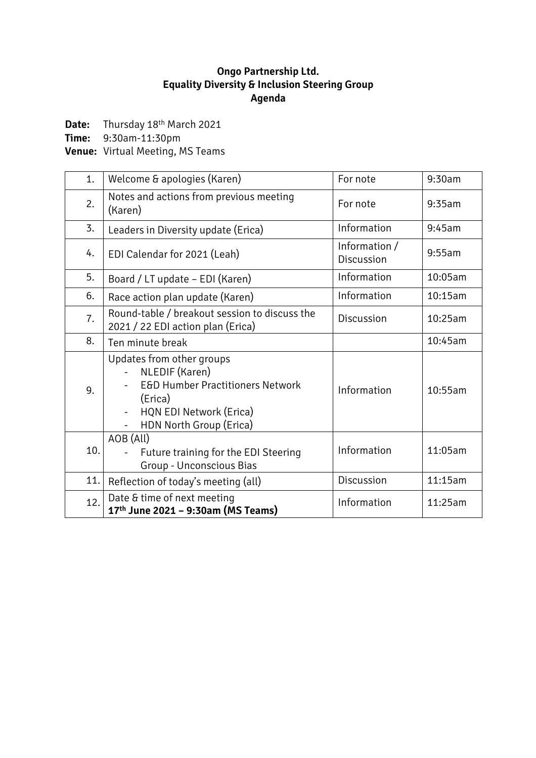# **Ongo Partnership Ltd. Equality Diversity & Inclusion Steering Group Agenda**

Date: Thursday 18<sup>th</sup> March 2021

**Time:** 9:30am-11:30pm

**Venue:** Virtual Meeting, MS Teams

| 1.  | Welcome & apologies (Karen)                                                                                                                                 | For note                    | 9:30am  |
|-----|-------------------------------------------------------------------------------------------------------------------------------------------------------------|-----------------------------|---------|
| 2.  | Notes and actions from previous meeting<br>(Karen)                                                                                                          | For note                    | 9:35am  |
| 3.  | Leaders in Diversity update (Erica)                                                                                                                         | Information                 | 9:45am  |
| 4.  | EDI Calendar for 2021 (Leah)                                                                                                                                | Information /<br>Discussion | 9:55am  |
| 5.  | Board / LT update - EDI (Karen)                                                                                                                             | Information                 | 10:05am |
| 6.  | Race action plan update (Karen)                                                                                                                             | Information                 | 10:15am |
| 7.  | Round-table / breakout session to discuss the<br>2021 / 22 EDI action plan (Erica)                                                                          | Discussion                  | 10:25am |
| 8.  | Ten minute break                                                                                                                                            |                             | 10:45am |
| 9.  | Updates from other groups<br>NLEDIF (Karen)<br><b>E&amp;D Humber Practitioners Network</b><br>(Erica)<br>HQN EDI Network (Erica)<br>HDN North Group (Erica) | Information                 | 10:55am |
| 10. | AOB (All)<br>Future training for the EDI Steering<br>Group - Unconscious Bias                                                                               | Information                 | 11:05am |
| 11. | Reflection of today's meeting (all)                                                                                                                         | Discussion                  | 11:15am |
| 12. | Date & time of next meeting<br>17th June 2021 - 9:30am (MS Teams)                                                                                           | Information                 | 11:25am |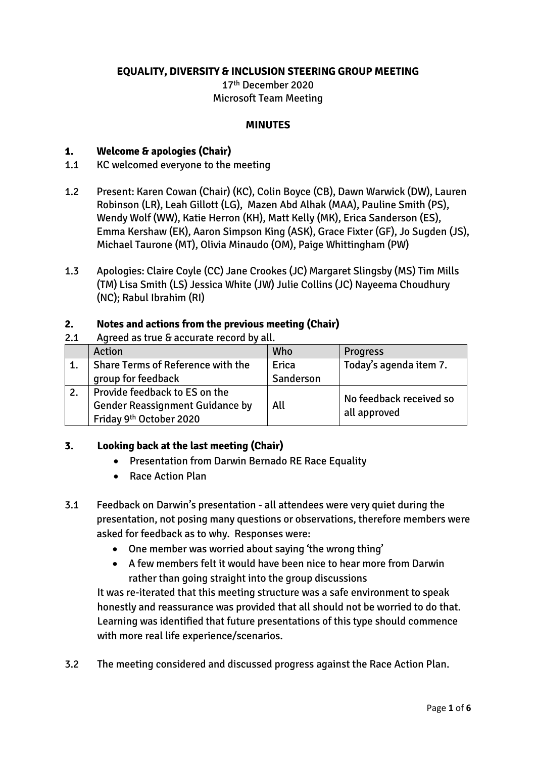### **EQUALITY, DIVERSITY & INCLUSION STEERING GROUP MEETING**

17th December 2020 Microsoft Team Meeting

#### **MINUTES**

### **1. Welcome & apologies (Chair)**

- 1.1 KC welcomed everyone to the meeting
- 1.2 Present: Karen Cowan (Chair) (KC), Colin Boyce (CB), Dawn Warwick (DW), Lauren Robinson (LR), Leah Gillott (LG), Mazen Abd Alhak (MAA), Pauline Smith (PS), Wendy Wolf (WW), Katie Herron (KH), Matt Kelly (MK), Erica Sanderson (ES), Emma Kershaw (EK), Aaron Simpson King (ASK), Grace Fixter (GF), Jo Sugden (JS), Michael Taurone (MT), Olivia Minaudo (OM), Paige Whittingham (PW)
- 1.3 Apologies: Claire Coyle (CC) Jane Crookes (JC) Margaret Slingsby (MS) Tim Mills (TM) Lisa Smith (LS) Jessica White (JW) Julie Collins (JC) Nayeema Choudhury (NC); Rabul Ibrahim (RI)

#### **2. Notes and actions from the previous meeting (Chair)**

#### 2.1 Agreed as true & accurate record by all.

|    | Action                                                                        | Who       | <b>Progress</b>         |  |  |
|----|-------------------------------------------------------------------------------|-----------|-------------------------|--|--|
|    | Share Terms of Reference with the                                             | Erica     | Today's agenda item 7.  |  |  |
|    | group for feedback                                                            | Sanderson |                         |  |  |
| 2. | Provide feedback to ES on the                                                 |           | No feedback received so |  |  |
|    | <b>Gender Reassignment Guidance by</b><br>Friday 9 <sup>th</sup> October 2020 | All       | all approved            |  |  |

#### **3. Looking back at the last meeting (Chair)**

- Presentation from Darwin Bernado RE Race Equality
- Race Action Plan
- 3.1 Feedback on Darwin's presentation all attendees were very quiet during the presentation, not posing many questions or observations, therefore members were asked for feedback as to why. Responses were:
	- One member was worried about saying 'the wrong thing'
	- A few members felt it would have been nice to hear more from Darwin rather than going straight into the group discussions

It was re-iterated that this meeting structure was a safe environment to speak honestly and reassurance was provided that all should not be worried to do that. Learning was identified that future presentations of this type should commence with more real life experience/scenarios.

3.2 The meeting considered and discussed progress against the Race Action Plan.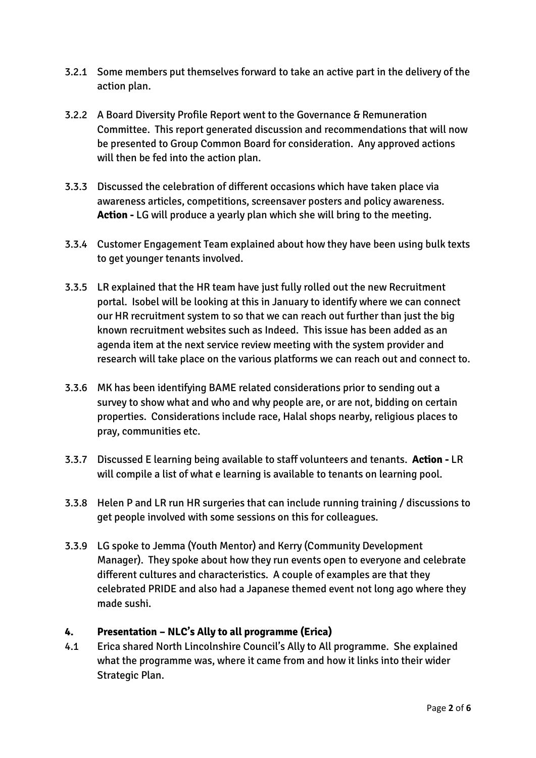- 3.2.1 Some members put themselves forward to take an active part in the delivery of the action plan.
- 3.2.2 A Board Diversity Profile Report went to the Governance & Remuneration Committee. This report generated discussion and recommendations that will now be presented to Group Common Board for consideration. Any approved actions will then be fed into the action plan.
- 3.3.3 Discussed the celebration of different occasions which have taken place via awareness articles, competitions, screensaver posters and policy awareness. **Action -** LG will produce a yearly plan which she will bring to the meeting.
- 3.3.4 Customer Engagement Team explained about how they have been using bulk texts to get younger tenants involved.
- 3.3.5 LR explained that the HR team have just fully rolled out the new Recruitment portal. Isobel will be looking at this in January to identify where we can connect our HR recruitment system to so that we can reach out further than just the big known recruitment websites such as Indeed. This issue has been added as an agenda item at the next service review meeting with the system provider and research will take place on the various platforms we can reach out and connect to.
- 3.3.6 MK has been identifying BAME related considerations prior to sending out a survey to show what and who and why people are, or are not, bidding on certain properties. Considerations include race, Halal shops nearby, religious places to pray, communities etc.
- 3.3.7 Discussed E learning being available to staff volunteers and tenants. **Action -** LR will compile a list of what e learning is available to tenants on learning pool.
- 3.3.8 Helen P and LR run HR surgeries that can include running training / discussions to get people involved with some sessions on this for colleagues.
- 3.3.9 LG spoke to Jemma (Youth Mentor) and Kerry (Community Development Manager). They spoke about how they run events open to everyone and celebrate different cultures and characteristics. A couple of examples are that they celebrated PRIDE and also had a Japanese themed event not long ago where they made sushi.

### **4. Presentation – NLC's Ally to all programme (Erica)**

4.1 Erica shared North Lincolnshire Council's Ally to All programme. She explained what the programme was, where it came from and how it links into their wider Strategic Plan.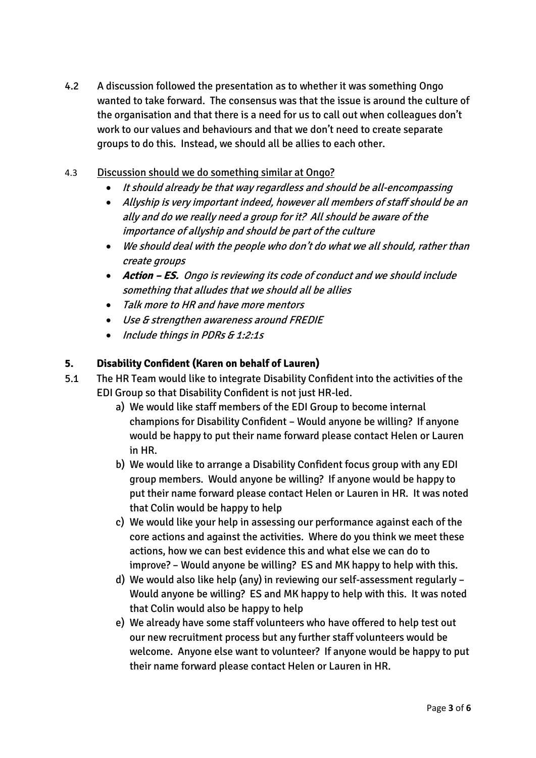- 4.2 A discussion followed the presentation as to whether it was something Ongo wanted to take forward. The consensus was that the issue is around the culture of the organisation and that there is a need for us to call out when colleagues don't work to our values and behaviours and that we don't need to create separate groups to do this. Instead, we should all be allies to each other.
- 4.3 Discussion should we do something similar at Ongo?
	- It should already be that way regardless and should be all-encompassing
	- Allyship is very important indeed, however all members of staff should be an ally and do we really need a group for it? All should be aware of the importance of allyship and should be part of the culture
	- We should deal with the people who don't do what we all should, rather than create groups
	- **Action – ES.** Ongo is reviewing its code of conduct and we should include something that alludes that we should all be allies
	- Talk more to HR and have more mentors
	- Use & strengthen awareness around FREDIE
	- Include things in PDRs & 1:2:1s

### **5. Disability Confident (Karen on behalf of Lauren)**

- 5.1 The HR Team would like to integrate Disability Confident into the activities of the EDI Group so that Disability Confident is not just HR-led.
	- a) We would like staff members of the EDI Group to become internal champions for Disability Confident – Would anyone be willing? If anyone would be happy to put their name forward please contact Helen or Lauren in HR.
	- b) We would like to arrange a Disability Confident focus group with any EDI group members. Would anyone be willing? If anyone would be happy to put their name forward please contact Helen or Lauren in HR. It was noted that Colin would be happy to help
	- c) We would like your help in assessing our performance against each of the core actions and against the activities. Where do you think we meet these actions, how we can best evidence this and what else we can do to improve? – Would anyone be willing? ES and MK happy to help with this.
	- d) We would also like help (any) in reviewing our self-assessment regularly Would anyone be willing? ES and MK happy to help with this. It was noted that Colin would also be happy to help
	- e) We already have some staff volunteers who have offered to help test out our new recruitment process but any further staff volunteers would be welcome. Anyone else want to volunteer? If anyone would be happy to put their name forward please contact Helen or Lauren in HR.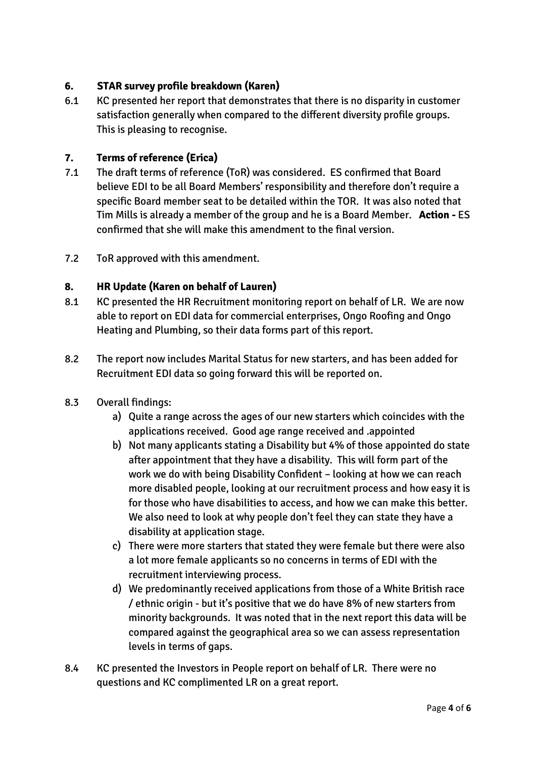### **6. STAR survey profile breakdown (Karen)**

6.1 KC presented her report that demonstrates that there is no disparity in customer satisfaction generally when compared to the different diversity profile groups. This is pleasing to recognise.

### **7. Terms of reference (Erica)**

- 7.1 The draft terms of reference (ToR) was considered. ES confirmed that Board believe EDI to be all Board Members' responsibility and therefore don't require a specific Board member seat to be detailed within the TOR. It was also noted that Tim Mills is already a member of the group and he is a Board Member. **Action -** ES confirmed that she will make this amendment to the final version.
- 7.2 ToR approved with this amendment.

### **8. HR Update (Karen on behalf of Lauren)**

- 8.1 KC presented the HR Recruitment monitoring report on behalf of LR. We are now able to report on EDI data for commercial enterprises, Ongo Roofing and Ongo Heating and Plumbing, so their data forms part of this report.
- 8.2 The report now includes Marital Status for new starters, and has been added for Recruitment EDI data so going forward this will be reported on.
- 8.3 Overall findings:
	- a) Quite a range across the ages of our new starters which coincides with the applications received. Good age range received and .appointed
	- b) Not many applicants stating a Disability but 4% of those appointed do state after appointment that they have a disability. This will form part of the work we do with being Disability Confident – looking at how we can reach more disabled people, looking at our recruitment process and how easy it is for those who have disabilities to access, and how we can make this better. We also need to look at why people don't feel they can state they have a disability at application stage.
	- c) There were more starters that stated they were female but there were also a lot more female applicants so no concerns in terms of EDI with the recruitment interviewing process.
	- d) We predominantly received applications from those of a White British race / ethnic origin - but it's positive that we do have 8% of new starters from minority backgrounds. It was noted that in the next report this data will be compared against the geographical area so we can assess representation levels in terms of gaps.
- 8.4 KC presented the Investors in People report on behalf of LR. There were no questions and KC complimented LR on a great report.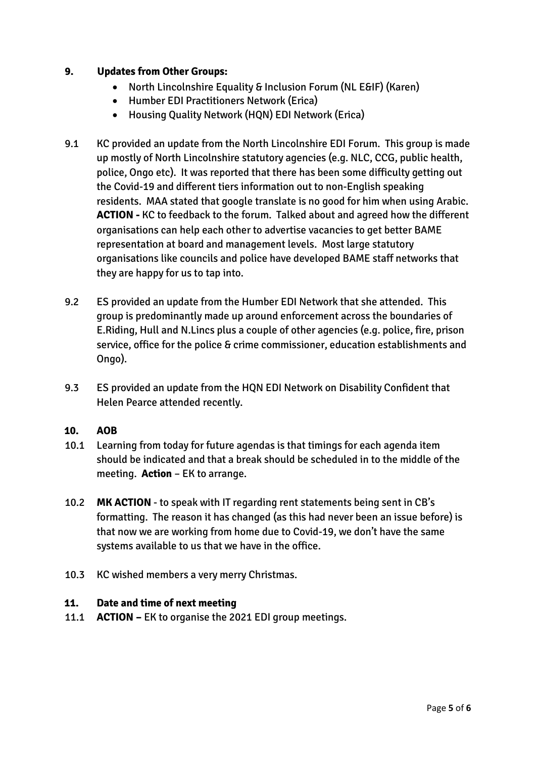### **9. Updates from Other Groups:**

- North Lincolnshire Equality & Inclusion Forum (NL E&IF) (Karen)
- Humber EDI Practitioners Network (Erica)
- Housing Quality Network (HQN) EDI Network (Erica)
- 9.1 KC provided an update from the North Lincolnshire EDI Forum. This group is made up mostly of North Lincolnshire statutory agencies (e.g. NLC, CCG, public health, police, Ongo etc). It was reported that there has been some difficulty getting out the Covid-19 and different tiers information out to non-English speaking residents. MAA stated that google translate is no good for him when using Arabic. **ACTION -** KC to feedback to the forum. Talked about and agreed how the different organisations can help each other to advertise vacancies to get better BAME representation at board and management levels. Most large statutory organisations like councils and police have developed BAME staff networks that they are happy for us to tap into.
- 9.2 ES provided an update from the Humber EDI Network that she attended. This group is predominantly made up around enforcement across the boundaries of E.Riding, Hull and N.Lincs plus a couple of other agencies (e.g. police, fire, prison service, office for the police & crime commissioner, education establishments and Ongo).
- 9.3 ES provided an update from the HQN EDI Network on Disability Confident that Helen Pearce attended recently.

#### **10. AOB**

- 10.1 Learning from today for future agendas is that timings for each agenda item should be indicated and that a break should be scheduled in to the middle of the meeting. **Action** – EK to arrange.
- 10.2 **MK ACTION** to speak with IT regarding rent statements being sent in CB's formatting. The reason it has changed (as this had never been an issue before) is that now we are working from home due to Covid-19, we don't have the same systems available to us that we have in the office.
- 10.3 KC wished members a very merry Christmas.

#### **11. Date and time of next meeting**

11.1 **ACTION –** EK to organise the 2021 EDI group meetings.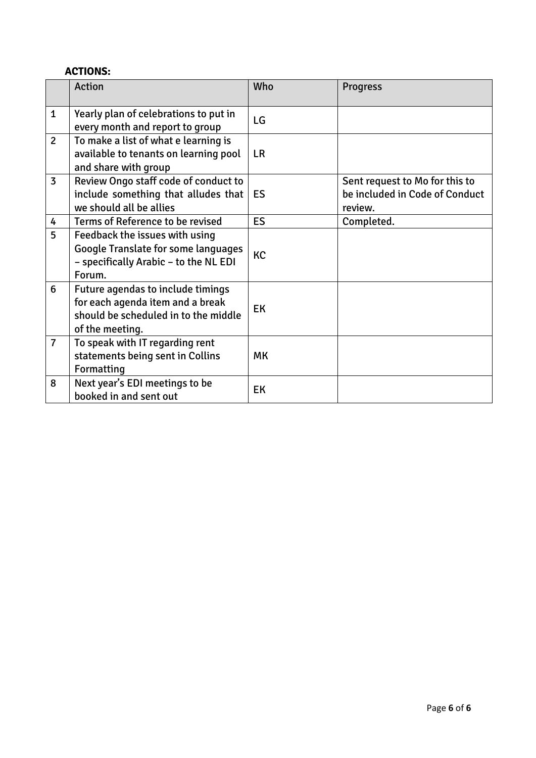# **ACTIONS:**

|                | <b>Action</b>                                                                                                                    | Who       | <b>Progress</b>                                                             |
|----------------|----------------------------------------------------------------------------------------------------------------------------------|-----------|-----------------------------------------------------------------------------|
| $\mathbf{1}$   | Yearly plan of celebrations to put in<br>every month and report to group                                                         | LG        |                                                                             |
| $\overline{2}$ | To make a list of what e learning is<br>available to tenants on learning pool<br>and share with group                            | <b>LR</b> |                                                                             |
| $\overline{3}$ | Review Ongo staff code of conduct to<br>include something that alludes that<br>we should all be allies                           | <b>ES</b> | Sent request to Mo for this to<br>be included in Code of Conduct<br>review. |
| 4              | Terms of Reference to be revised                                                                                                 | <b>ES</b> | Completed.                                                                  |
| 5              | Feedback the issues with using<br><b>Google Translate for some languages</b><br>- specifically Arabic - to the NL EDI<br>Forum.  | <b>KC</b> |                                                                             |
| 6              | Future agendas to include timings<br>for each agenda item and a break<br>should be scheduled in to the middle<br>of the meeting. | EK        |                                                                             |
| $\overline{7}$ | To speak with IT regarding rent<br>statements being sent in Collins<br>Formatting                                                | <b>MK</b> |                                                                             |
| 8              | Next year's EDI meetings to be<br>booked in and sent out                                                                         | EK        |                                                                             |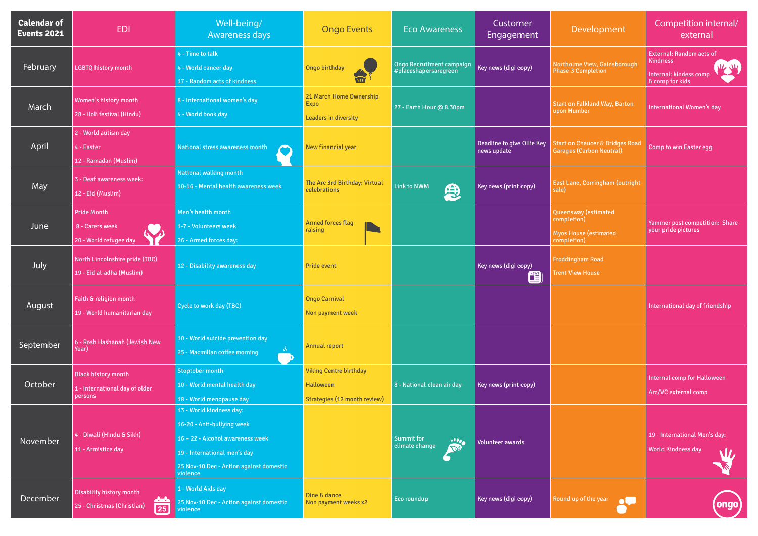| <b>Calendar of</b><br><b>Events 2021</b> | <b>EDI</b>                                                                    | Well-being/<br><b>Awareness days</b>                                                                                                                                              | <b>Ongo Events</b>                                                                | <b>Eco Awareness</b>                                                      | Customer<br>Engagement                    | Development                                                                        | Competition internal/<br>external                                                                       |
|------------------------------------------|-------------------------------------------------------------------------------|-----------------------------------------------------------------------------------------------------------------------------------------------------------------------------------|-----------------------------------------------------------------------------------|---------------------------------------------------------------------------|-------------------------------------------|------------------------------------------------------------------------------------|---------------------------------------------------------------------------------------------------------|
| <b>February</b>                          | <b>LGBTQ history month</b>                                                    | 4 - Time to talk<br>4 - World cancer day<br>17 - Random acts of kindness                                                                                                          | Ongo birthday                                                                     | Ongo Recruitment campaign<br>#placeshapersaregreen                        | Key news (digi copy)                      | Northolme View, Gainsborough<br><b>Phase 3 Completion</b>                          | <b>External: Random acts of</b><br><b>Kindness</b><br>W, W<br>Internal: kindess comp<br>& comp for kids |
| March                                    | Women's history month<br>28 - Holi festival (Hindu)                           | 8 - International women's day<br>4 - World book day                                                                                                                               | 21 March Home Ownership<br><b>Expo</b><br><b>Leaders in diversity</b>             | 27 - Earth Hour @ 8.30pm                                                  |                                           | <b>Start on Falkland Way, Barton</b><br>upon Humber                                | <b>International Women's day</b>                                                                        |
| April                                    | 2 - World autism day<br>4 - Easter<br>12 - Ramadan (Muslim)                   | <b>National stress awareness month</b>                                                                                                                                            | New financial year                                                                |                                                                           | Deadline to give Ollie Key<br>news update | <b>Start on Chaucer &amp; Bridges Road</b><br><b>Garages (Carbon Neutral)</b>      | Comp to win Easter egg                                                                                  |
| May                                      | 3 - Deaf awareness week:<br>12 - Eid (Muslim)                                 | National walking month<br>10-16 - Mental health awareness week                                                                                                                    | The Arc 3rd Birthday: Virtual<br>celebrations                                     | Link to NWM<br>思                                                          | <b>Key news (print copy)</b>              | East Lane, Corringham (outright<br>sale)                                           |                                                                                                         |
| June                                     | <b>Pride Month</b><br>8 - Carers week<br>20 - World refugee day               | Men's health month<br>1-7 - Volunteers week<br>26 - Armed forces day:                                                                                                             | <b>Armed forces flag</b><br>raising                                               |                                                                           |                                           | Queensway (estimated<br>completion)<br><b>Myos House (estimated</b><br>completion) | Yammer post competition: Share<br>your pride pictures                                                   |
| July                                     | North Lincolnshire pride (TBC)<br>19 - Eid al-adha (Muslim)                   | 12 - Disability awareness day                                                                                                                                                     | <b>Pride event</b>                                                                |                                                                           | Key news (digi copy)<br>$\mathbf{E}$      | <b>Froddingham Road</b><br><b>Trent View House</b>                                 |                                                                                                         |
| August                                   | Faith & religion month<br>19 - World humanitarian day                         | Cycle to work day (TBC)                                                                                                                                                           | <b>Ongo Carnival</b><br>Non payment week                                          |                                                                           |                                           |                                                                                    | International day of friendship                                                                         |
| September                                | 6 - Rosh Hashanah (Jewish New<br>Year)                                        | 10 - World suicide prevention day<br>25 - Macmillan coffee morning<br>- D                                                                                                         | <b>Annual report</b>                                                              |                                                                           |                                           |                                                                                    |                                                                                                         |
| October                                  | <b>Black history month</b><br>1 - International day of older<br>persons       | Stoptober month<br>10 - World mental health day<br>18 - World menopause day                                                                                                       | <b>Viking Centre birthday</b><br><b>Halloween</b><br>Strategies (12 month review) | 8 - National clean air day                                                | <b>Key news (print copy)</b>              |                                                                                    | Internal comp for Halloween<br>Arc/VC external comp                                                     |
| November                                 | 4 - Diwali (Hindu & Sikh)<br>11 - Armistice day                               | 13 - World kindness day:<br>16-20 - Anti-bullying week<br>16 - 22 - Alcohol awareness week<br>19 - International men's day<br>25 Nov-10 Dec - Action against domestic<br>violence |                                                                                   | <b>Summit for</b><br>$\cdot\cdot\cdot$<br>climate change<br>$\mathcal{L}$ | <b>Volunteer awards</b>                   |                                                                                    | 19 - International Men's day:<br><b>World Kindness day</b>                                              |
| December                                 | Disability history month<br>$\sim$ $\sim$<br>25 - Christmas (Christian)<br>25 | 1 - World Aids day<br>25 Nov-10 Dec - Action against domestic<br>violence                                                                                                         | Dine & dance<br>Non payment weeks x2                                              | Eco roundup                                                               | Key news (digi copy)                      | Round up of the year<br>$\bullet \bullet$                                          | <b>ongo</b>                                                                                             |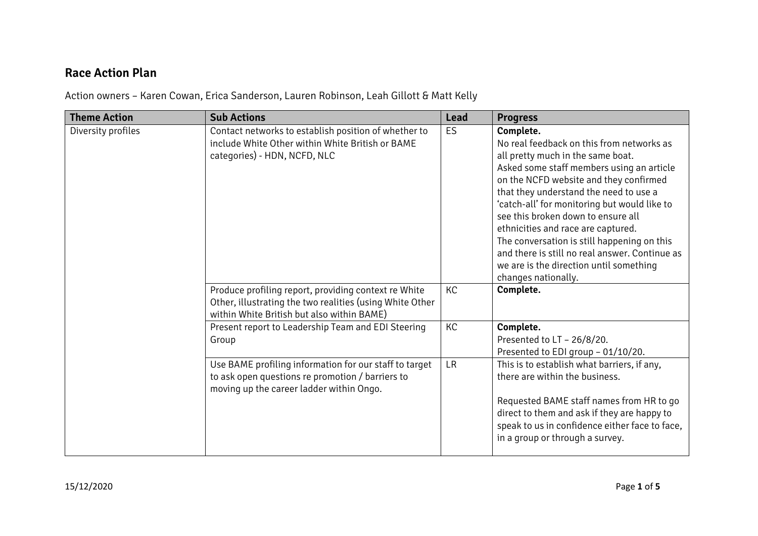# **Race Action Plan**

Action owners – Karen Cowan, Erica Sanderson, Lauren Robinson, Leah Gillott & Matt Kelly

| <b>Theme Action</b> | <b>Sub Actions</b>                                                                                                                                             | <b>Lead</b> | <b>Progress</b>                                                                                                                                                                                                                                                                                                                                                                                                                                                                                                             |
|---------------------|----------------------------------------------------------------------------------------------------------------------------------------------------------------|-------------|-----------------------------------------------------------------------------------------------------------------------------------------------------------------------------------------------------------------------------------------------------------------------------------------------------------------------------------------------------------------------------------------------------------------------------------------------------------------------------------------------------------------------------|
| Diversity profiles  | Contact networks to establish position of whether to<br>include White Other within White British or BAME<br>categories) - HDN, NCFD, NLC                       | <b>ES</b>   | Complete.<br>No real feedback on this from networks as<br>all pretty much in the same boat.<br>Asked some staff members using an article<br>on the NCFD website and they confirmed<br>that they understand the need to use a<br>'catch-all' for monitoring but would like to<br>see this broken down to ensure all<br>ethnicities and race are captured.<br>The conversation is still happening on this<br>and there is still no real answer. Continue as<br>we are is the direction until something<br>changes nationally. |
|                     | Produce profiling report, providing context re White<br>Other, illustrating the two realities (using White Other<br>within White British but also within BAME) | KC          | Complete.                                                                                                                                                                                                                                                                                                                                                                                                                                                                                                                   |
|                     | Present report to Leadership Team and EDI Steering<br>Group                                                                                                    | KC          | Complete.<br>Presented to LT - 26/8/20.<br>Presented to EDI group - 01/10/20.                                                                                                                                                                                                                                                                                                                                                                                                                                               |
|                     | Use BAME profiling information for our staff to target<br>to ask open questions re promotion / barriers to<br>moving up the career ladder within Ongo.         | <b>LR</b>   | This is to establish what barriers, if any,<br>there are within the business.<br>Requested BAME staff names from HR to go<br>direct to them and ask if they are happy to<br>speak to us in confidence either face to face,<br>in a group or through a survey.                                                                                                                                                                                                                                                               |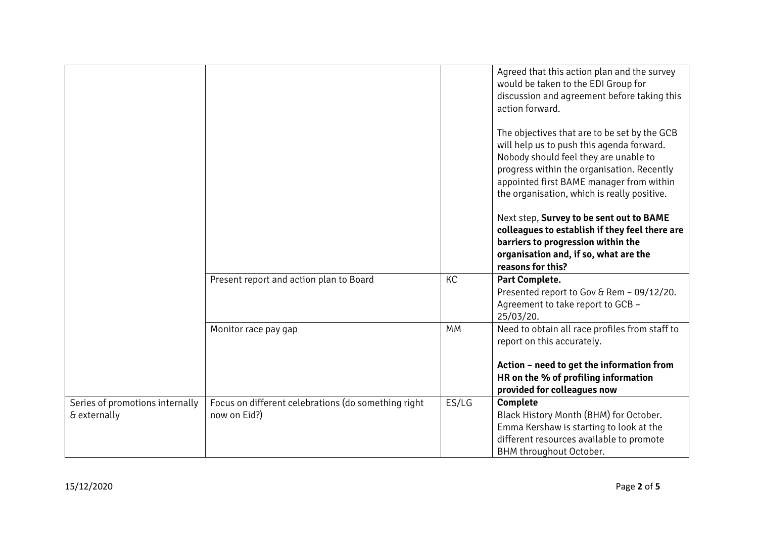|                                                 |                                                                     |           | Agreed that this action plan and the survey<br>would be taken to the EDI Group for<br>discussion and agreement before taking this<br>action forward.<br>The objectives that are to be set by the GCB<br>will help us to push this agenda forward.<br>Nobody should feel they are unable to<br>progress within the organisation. Recently<br>appointed first BAME manager from within |
|-------------------------------------------------|---------------------------------------------------------------------|-----------|--------------------------------------------------------------------------------------------------------------------------------------------------------------------------------------------------------------------------------------------------------------------------------------------------------------------------------------------------------------------------------------|
|                                                 |                                                                     |           | the organisation, which is really positive.<br>Next step, Survey to be sent out to BAME<br>colleagues to establish if they feel there are<br>barriers to progression within the<br>organisation and, if so, what are the<br>reasons for this?                                                                                                                                        |
|                                                 | Present report and action plan to Board                             | <b>KC</b> | Part Complete.<br>Presented report to Gov & Rem - 09/12/20.<br>Agreement to take report to GCB -<br>25/03/20.                                                                                                                                                                                                                                                                        |
|                                                 | Monitor race pay gap                                                | MM        | Need to obtain all race profiles from staff to<br>report on this accurately.<br>Action - need to get the information from<br>HR on the % of profiling information<br>provided for colleagues now                                                                                                                                                                                     |
| Series of promotions internally<br>& externally | Focus on different celebrations (do something right<br>now on Eid?) | ES/LG     | Complete<br>Black History Month (BHM) for October.<br>Emma Kershaw is starting to look at the<br>different resources available to promote<br>BHM throughout October.                                                                                                                                                                                                                 |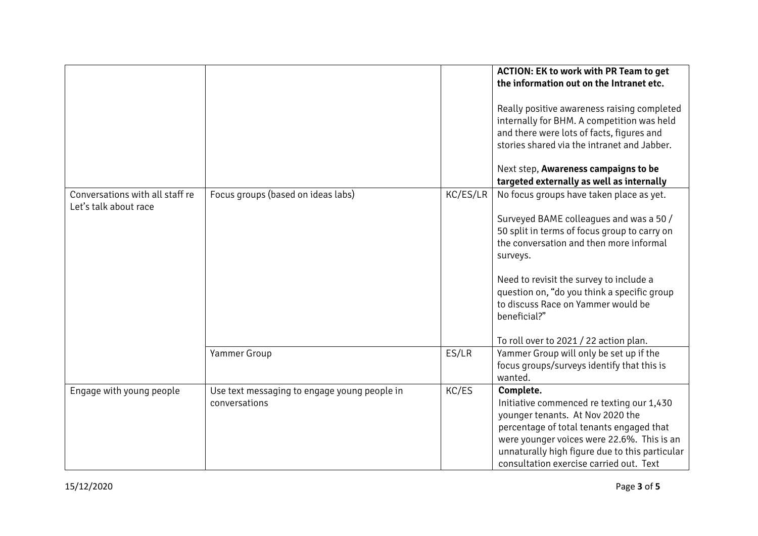|                                                          |                                                               |          | <b>ACTION: EK to work with PR Team to get</b><br>the information out on the Intranet etc.<br>Really positive awareness raising completed<br>internally for BHM. A competition was held<br>and there were lots of facts, figures and<br>stories shared via the intranet and Jabber.<br>Next step, Awareness campaigns to be<br>targeted externally as well as internally |
|----------------------------------------------------------|---------------------------------------------------------------|----------|-------------------------------------------------------------------------------------------------------------------------------------------------------------------------------------------------------------------------------------------------------------------------------------------------------------------------------------------------------------------------|
| Conversations with all staff re<br>Let's talk about race | Focus groups (based on ideas labs)                            | KC/ES/LR | No focus groups have taken place as yet.<br>Surveyed BAME colleagues and was a 50 /<br>50 split in terms of focus group to carry on<br>the conversation and then more informal<br>surveys.<br>Need to revisit the survey to include a                                                                                                                                   |
|                                                          |                                                               |          | question on, "do you think a specific group<br>to discuss Race on Yammer would be<br>beneficial?"<br>To roll over to 2021 / 22 action plan.                                                                                                                                                                                                                             |
|                                                          | <b>Yammer Group</b>                                           | ES/LR    | Yammer Group will only be set up if the<br>focus groups/surveys identify that this is<br>wanted.                                                                                                                                                                                                                                                                        |
| Engage with young people                                 | Use text messaging to engage young people in<br>conversations | KC/ES    | Complete.<br>Initiative commenced re texting our 1,430<br>younger tenants. At Nov 2020 the<br>percentage of total tenants engaged that<br>were younger voices were 22.6%. This is an<br>unnaturally high figure due to this particular<br>consultation exercise carried out. Text                                                                                       |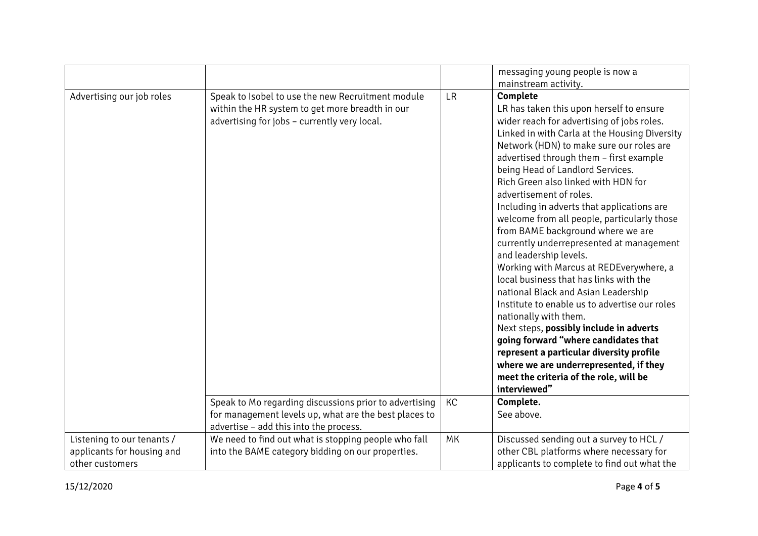|                            |                                                                                                 |           | messaging young people is now a<br>mainstream activity.                                                                                                                                                                                                                                                                                                                                                                                                                                                                                                                                                                                                                                                                                                                                                                                                                                                                                                                               |
|----------------------------|-------------------------------------------------------------------------------------------------|-----------|---------------------------------------------------------------------------------------------------------------------------------------------------------------------------------------------------------------------------------------------------------------------------------------------------------------------------------------------------------------------------------------------------------------------------------------------------------------------------------------------------------------------------------------------------------------------------------------------------------------------------------------------------------------------------------------------------------------------------------------------------------------------------------------------------------------------------------------------------------------------------------------------------------------------------------------------------------------------------------------|
| Advertising our job roles  | Speak to Isobel to use the new Recruitment module                                               | <b>LR</b> | Complete                                                                                                                                                                                                                                                                                                                                                                                                                                                                                                                                                                                                                                                                                                                                                                                                                                                                                                                                                                              |
|                            | within the HR system to get more breadth in our<br>advertising for jobs - currently very local. |           | LR has taken this upon herself to ensure<br>wider reach for advertising of jobs roles.<br>Linked in with Carla at the Housing Diversity<br>Network (HDN) to make sure our roles are<br>advertised through them - first example<br>being Head of Landlord Services.<br>Rich Green also linked with HDN for<br>advertisement of roles.<br>Including in adverts that applications are<br>welcome from all people, particularly those<br>from BAME background where we are<br>currently underrepresented at management<br>and leadership levels.<br>Working with Marcus at REDEverywhere, a<br>local business that has links with the<br>national Black and Asian Leadership<br>Institute to enable us to advertise our roles<br>nationally with them.<br>Next steps, possibly include in adverts<br>going forward "where candidates that<br>represent a particular diversity profile<br>where we are underrepresented, if they<br>meet the criteria of the role, will be<br>interviewed" |
|                            | Speak to Mo regarding discussions prior to advertising                                          | KC        | Complete.                                                                                                                                                                                                                                                                                                                                                                                                                                                                                                                                                                                                                                                                                                                                                                                                                                                                                                                                                                             |
|                            | for management levels up, what are the best places to<br>advertise - add this into the process. |           | See above.                                                                                                                                                                                                                                                                                                                                                                                                                                                                                                                                                                                                                                                                                                                                                                                                                                                                                                                                                                            |
| Listening to our tenants / | We need to find out what is stopping people who fall                                            | MK        | Discussed sending out a survey to HCL /                                                                                                                                                                                                                                                                                                                                                                                                                                                                                                                                                                                                                                                                                                                                                                                                                                                                                                                                               |
| applicants for housing and | into the BAME category bidding on our properties.                                               |           | other CBL platforms where necessary for                                                                                                                                                                                                                                                                                                                                                                                                                                                                                                                                                                                                                                                                                                                                                                                                                                                                                                                                               |
| other customers            |                                                                                                 |           | applicants to complete to find out what the                                                                                                                                                                                                                                                                                                                                                                                                                                                                                                                                                                                                                                                                                                                                                                                                                                                                                                                                           |